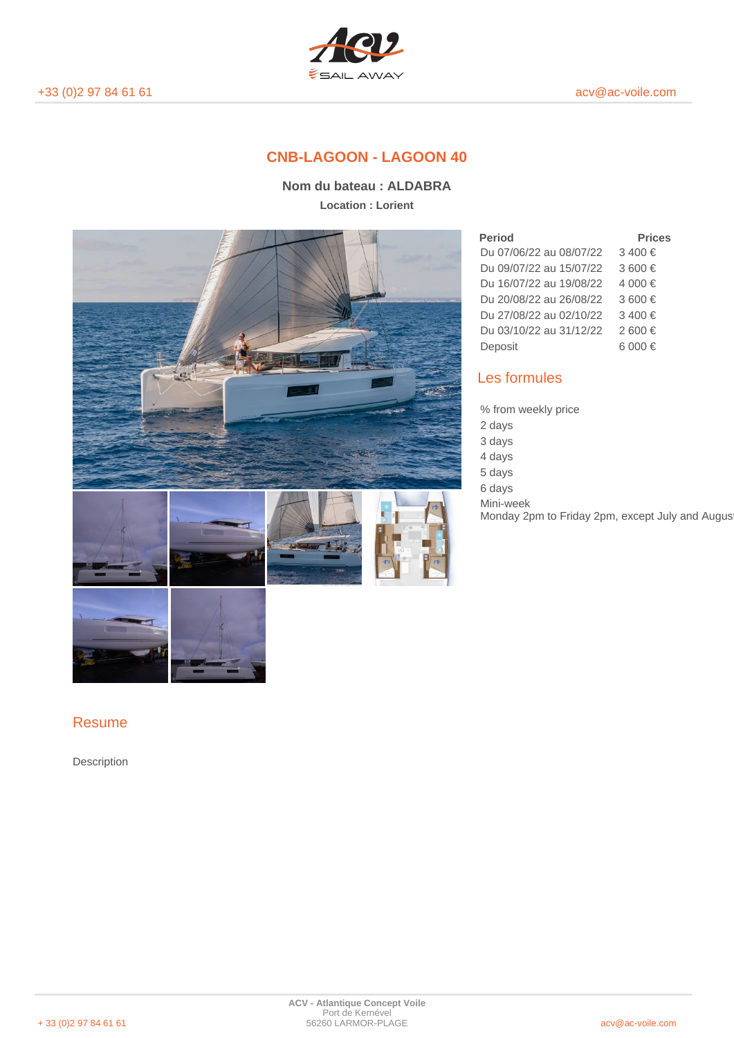

# **CNB-LAGOON - LAGOON 40**

**Nom du bateau : ALDABRA Location : Lorient**



### **Period Prices** Du 07/06/22 au 08/07/22 3 400 € Du 09/07/22 au 15/07/22 3 600 € Du 16/07/22 au 19/08/22 4 000 € Du 20/08/22 au 26/08/22 3 600 € Du 27/08/22 au 02/10/22 3 400 € Du 03/10/22 au 31/12/22 2 600 € Deposit 6 000 €

# Les formules

% from weekly price

2 days

3 days

4 days

5 days 6 days

Mini-week

Monday 2pm to Friday 2pm, except July and August

## Resume

Description